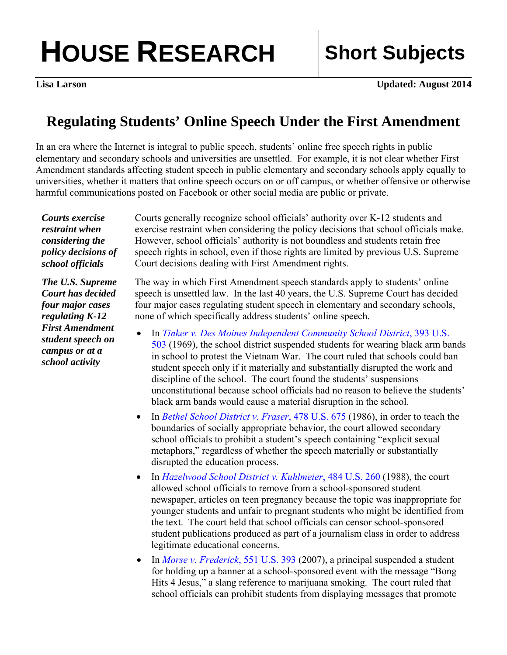## **HOUSE RESEARCH Short Subjects**

**Lisa Larson Updated: August 2014** 

## **Regulating Students' Online Speech Under the First Amendment**

In an era where the Internet is integral to public speech, students' online free speech rights in public elementary and secondary schools and universities are unsettled. For example, it is not clear whether First Amendment standards affecting student speech in public elementary and secondary schools apply equally to universities, whether it matters that online speech occurs on or off campus, or whether offensive or otherwise harmful communications posted on Facebook or other social media are public or private.

*Courts exercise restraint when considering the policy decisions of school officials* 

*The U.S. Supreme Court has decided four major cases regulating K-12 First Amendment student speech on campus or at a school activity* 

Courts generally recognize school officials' authority over K-12 students and exercise restraint when considering the policy decisions that school officials make. However, school officials' authority is not boundless and students retain free speech rights in school, even if those rights are limited by previous U.S. Supreme Court decisions dealing with First Amendment rights.

The way in which First Amendment speech standards apply to students' online speech is unsettled law. In the last 40 years, the U.S. Supreme Court has decided four major cases regulating student speech in elementary and secondary schools, none of which specifically address students' online speech.

- In *[Tinker v. Des Moines Independent Community School District](http://caselaw.lp.findlaw.com/scripts/getcase.pl?court=US&vol=393&invol=503)*, 393 U.S. [503](http://caselaw.lp.findlaw.com/scripts/getcase.pl?court=US&vol=393&invol=503) (1969), the school district suspended students for wearing black arm bands in school to protest the Vietnam War. The court ruled that schools could ban student speech only if it materially and substantially disrupted the work and discipline of the school. The court found the students' suspensions unconstitutional because school officials had no reason to believe the students' black arm bands would cause a material disruption in the school.
- In *[Bethel School District v. Fraser](http://www.law.cornell.edu/supremecourt/text/478/675)*, 478 U.S. 675 (1986), in order to teach the boundaries of socially appropriate behavior, the court allowed secondary school officials to prohibit a student's speech containing "explicit sexual metaphors," regardless of whether the speech materially or substantially disrupted the education process.
- In *[Hazelwood School District v. Kuhlmeier](http://caselaw.lp.findlaw.com/scripts/getcase.pl?court=US&vol=484&invol=260)*, 484 U.S. 260 (1988), the court allowed school officials to remove from a school-sponsored student newspaper, articles on teen pregnancy because the topic was inappropriate for younger students and unfair to pregnant students who might be identified from the text. The court held that school officials can censor school-sponsored student publications produced as part of a journalism class in order to address legitimate educational concerns.
- In *[Morse v. Frederick](http://caselaw.lp.findlaw.com/scripts/getcase.pl?court=US&vol=000&invol=06-278)*, 551 U.S. 393 (2007), a principal suspended a student for holding up a banner at a school-sponsored event with the message "Bong Hits 4 Jesus," a slang reference to marijuana smoking. The court ruled that school officials can prohibit students from displaying messages that promote